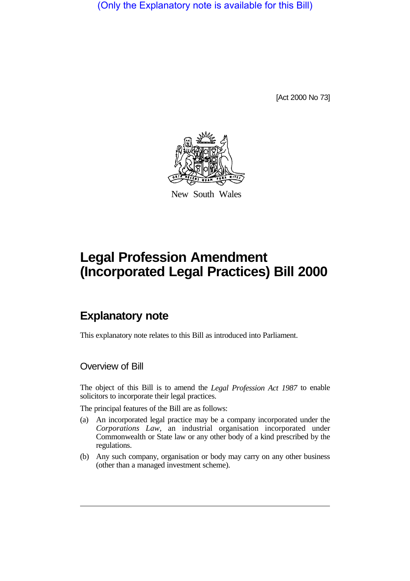(Only the Explanatory note is available for this Bill)

[Act 2000 No 73]



New South Wales

## **Legal Profession Amendment (Incorporated Legal Practices) Bill 2000**

## **Explanatory note**

This explanatory note relates to this Bill as introduced into Parliament.

Overview of Bill

The object of this Bill is to amend the *Legal Profession Act 1987* to enable solicitors to incorporate their legal practices.

The principal features of the Bill are as follows:

- (a) An incorporated legal practice may be a company incorporated under the *Corporations Law*, an industrial organisation incorporated under Commonwealth or State law or any other body of a kind prescribed by the regulations.
- (b) Any such company, organisation or body may carry on any other business (other than a managed investment scheme).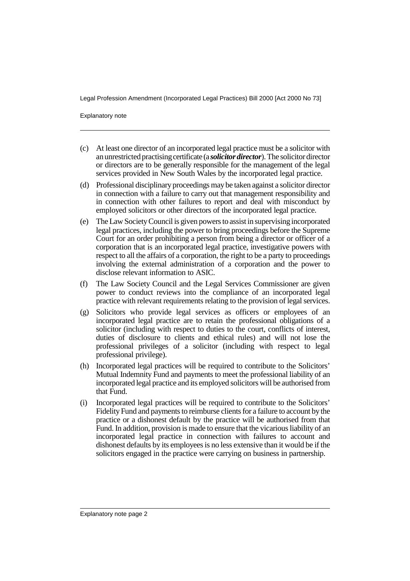Legal Profession Amendment (Incorporated Legal Practices) Bill 2000 [Act 2000 No 73]

Explanatory note

- (c) At least one director of an incorporated legal practice must be a solicitor with an unrestricted practising certificate (a *solicitor director*). The solicitor director or directors are to be generally responsible for the management of the legal services provided in New South Wales by the incorporated legal practice.
- (d) Professional disciplinary proceedings may be taken against a solicitor director in connection with a failure to carry out that management responsibility and in connection with other failures to report and deal with misconduct by employed solicitors or other directors of the incorporated legal practice.
- (e) The Law Society Council is given powers to assist in supervising incorporated legal practices, including the power to bring proceedings before the Supreme Court for an order prohibiting a person from being a director or officer of a corporation that is an incorporated legal practice, investigative powers with respect to all the affairs of a corporation, the right to be a party to proceedings involving the external administration of a corporation and the power to disclose relevant information to ASIC.
- (f) The Law Society Council and the Legal Services Commissioner are given power to conduct reviews into the compliance of an incorporated legal practice with relevant requirements relating to the provision of legal services.
- (g) Solicitors who provide legal services as officers or employees of an incorporated legal practice are to retain the professional obligations of a solicitor (including with respect to duties to the court, conflicts of interest, duties of disclosure to clients and ethical rules) and will not lose the professional privileges of a solicitor (including with respect to legal professional privilege).
- (h) Incorporated legal practices will be required to contribute to the Solicitors' Mutual Indemnity Fund and payments to meet the professional liability of an incorporated legal practice and its employed solicitors will be authorised from that Fund.
- (i) Incorporated legal practices will be required to contribute to the Solicitors' Fidelity Fund and payments to reimburse clients for a failure to account by the practice or a dishonest default by the practice will be authorised from that Fund. In addition, provision is made to ensure that the vicarious liability of an incorporated legal practice in connection with failures to account and dishonest defaults by its employees is no less extensive than it would be if the solicitors engaged in the practice were carrying on business in partnership.